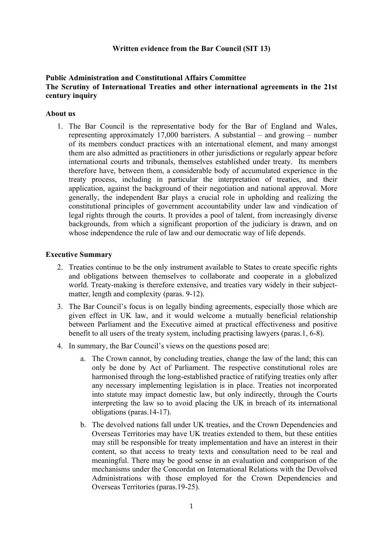# **Written evidence from the Bar Council (SIT 13)**

# **Public Administration and Constitutional Affairs Committee The Scrutiny of International Treaties and other international agreements in the 21st century inquiry**

# **About us**

1. The Bar Council is the representative body for the Bar of England and Wales, representing approximately 17,000 barristers. A substantial – and growing – number of its members conduct practices with an international element, and many amongst them are also admitted as practitioners in other jurisdictions or regularly appear before international courts and tribunals, themselves established under treaty. Its members therefore have, between them, a considerable body of accumulated experience in the treaty process, including in particular the interpretation of treaties, and their application, against the background of their negotiation and national approval. More generally, the independent Bar plays a crucial role in upholding and realizing the constitutional principles of government accountability under law and vindication of legal rights through the courts. It provides a pool of talent, from increasingly diverse backgrounds, from which a significant proportion of the judiciary is drawn, and on whose independence the rule of law and our democratic way of life depends.

#### **Executive Summary**

- 2. Treaties continue to be the only instrument available to States to create specific rights and obligations between themselves to collaborate and cooperate in a globalized world. Treaty-making is therefore extensive, and treaties vary widely in their subjectmatter, length and complexity (paras. 9-12).
- 3. The Bar Council's focus is on legally binding agreements, especially those which are given effect in UK law, and it would welcome a mutually beneficial relationship between Parliament and the Executive aimed at practical effectiveness and positive benefit to all users of the treaty system, including practising lawyers (paras.1, 6-8).
- 4. In summary, the Bar Council's views on the questions posed are:
	- a. The Crown cannot, by concluding treaties, change the law of the land; this can only be done by Act of Parliament. The respective constitutional roles are harmonised through the long-established practice of ratifying treaties only after any necessary implementing legislation is in place. Treaties not incorporated into statute may impact domestic law, but only indirectly, through the Courts interpreting the law so to avoid placing the UK in breach of its international obligations (paras.14-17).
	- b. The devolved nations fall under UK treaties, and the Crown Dependencies and Overseas Territories may have UK treaties extended to them, but these entities may still be responsible for treaty implementation and have an interest in their content, so that access to treaty texts and consultation need to be real and meaningful. There may be good sense in an evaluation and comparison of the mechanisms under the Concordat on International Relations with the Devolved Administrations with those employed for the Crown Dependencies and Overseas Territories (paras.19-25).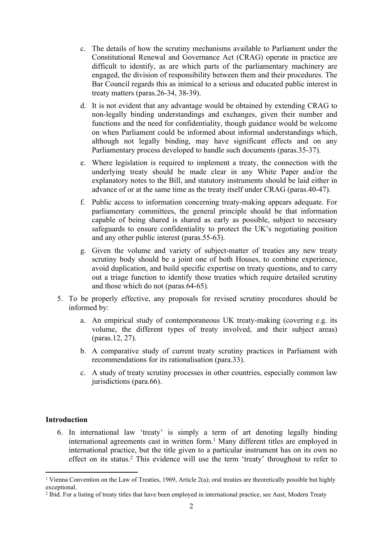- c. The details of how the scrutiny mechanisms available to Parliament under the Constitutional Renewal and Governance Act (CRAG) operate in practice are difficult to identify, as are which parts of the parliamentary machinery are engaged, the division of responsibility between them and their procedures. The Bar Council regards this as inimical to a serious and educated public interest in treaty matters (paras.26-34, 38-39).
- d. It is not evident that any advantage would be obtained by extending CRAG to non-legally binding understandings and exchanges, given their number and functions and the need for confidentiality, though guidance would be welcome on when Parliament could be informed about informal understandings which, although not legally binding, may have significant effects and on any Parliamentary process developed to handle such documents (paras.35-37).
- e. Where legislation is required to implement a treaty, the connection with the underlying treaty should be made clear in any White Paper and/or the explanatory notes to the Bill, and statutory instruments should be laid either in advance of or at the same time as the treaty itself under CRAG (paras.40-47).
- f. Public access to information concerning treaty-making appears adequate. For parliamentary committees, the general principle should be that information capable of being shared is shared as early as possible, subject to necessary safeguards to ensure confidentiality to protect the UK's negotiating position and any other public interest (paras.55-63).
- g. Given the volume and variety of subject-matter of treaties any new treaty scrutiny body should be a joint one of both Houses, to combine experience, avoid duplication, and build specific expertise on treaty questions, and to carry out a triage function to identify those treaties which require detailed scrutiny and those which do not (paras.64-65).
- 5. To be properly effective, any proposals for revised scrutiny procedures should be informed by:
	- a. An empirical study of contemporaneous UK treaty-making (covering e.g. its volume, the different types of treaty involved, and their subject areas) (paras.12, 27).
	- b. A comparative study of current treaty scrutiny practices in Parliament with recommendations for its rationalisation (para.33).
	- c. A study of treaty scrutiny processes in other countries, especially common law jurisdictions (para.66).

# **Introduction**

6. In international law 'treaty' is simply a term of art denoting legally binding international agreements cast in written form.<sup>1</sup> Many different titles are employed in international practice, but the title given to a particular instrument has on its own no effect on its status.<sup>2</sup> This evidence will use the term 'treaty' throughout to refer to

<sup>&</sup>lt;sup>1</sup> Vienna Convention on the Law of Treaties, 1969, Article 2(a); oral treaties are theoretically possible but highly exceptional.

<sup>&</sup>lt;sup>2</sup> Ibid. For a listing of treaty titles that have been employed in international practice, see Aust, Modern Treaty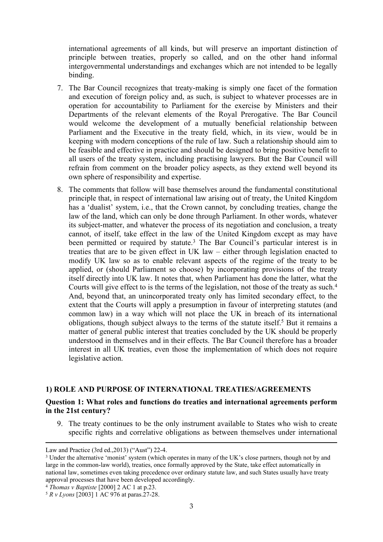international agreements of all kinds, but will preserve an important distinction of principle between treaties, properly so called, and on the other hand informal intergovernmental understandings and exchanges which are not intended to be legally binding.

- 7. The Bar Council recognizes that treaty-making is simply one facet of the formation and execution of foreign policy and, as such, is subject to whatever processes are in operation for accountability to Parliament for the exercise by Ministers and their Departments of the relevant elements of the Royal Prerogative. The Bar Council would welcome the development of a mutually beneficial relationship between Parliament and the Executive in the treaty field, which, in its view, would be in keeping with modern conceptions of the rule of law. Such a relationship should aim to be feasible and effective in practice and should be designed to bring positive benefit to all users of the treaty system, including practising lawyers. But the Bar Council will refrain from comment on the broader policy aspects, as they extend well beyond its own sphere of responsibility and expertise.
- 8. The comments that follow will base themselves around the fundamental constitutional principle that, in respect of international law arising out of treaty, the United Kingdom has a 'dualist' system, i.e., that the Crown cannot, by concluding treaties, change the law of the land, which can only be done through Parliament. In other words, whatever its subject-matter, and whatever the process of its negotiation and conclusion, a treaty cannot, of itself, take effect in the law of the United Kingdom except as may have been permitted or required by statute.<sup>3</sup> The Bar Council's particular interest is in treaties that are to be given effect in UK law – either through legislation enacted to modify UK law so as to enable relevant aspects of the regime of the treaty to be applied, or (should Parliament so choose) by incorporating provisions of the treaty itself directly into UK law. It notes that, when Parliament has done the latter, what the Courts will give effect to is the terms of the legislation, not those of the treaty as such.<sup>4</sup> And, beyond that, an unincorporated treaty only has limited secondary effect, to the extent that the Courts will apply a presumption in favour of interpreting statutes (and common law) in a way which will not place the UK in breach of its international obligations, though subject always to the terms of the statute itself.<sup>5</sup> But it remains a matter of general public interest that treaties concluded by the UK should be properly understood in themselves and in their effects. The Bar Council therefore has a broader interest in all UK treaties, even those the implementation of which does not require legislative action.

# **1) ROLE AND PURPOSE OF INTERNATIONAL TREATIES/AGREEMENTS**

# **Question 1: What roles and functions do treaties and international agreements perform in the 21st century?**

9. The treaty continues to be the only instrument available to States who wish to create specific rights and correlative obligations as between themselves under international

Law and Practice (3rd ed.,2013) ("Aust") 22-4.

<sup>&</sup>lt;sup>3</sup> Under the alternative 'monist' system (which operates in many of the UK's close partners, though not by and large in the common-law world), treaties, once formally approved by the State, take effect automatically in national law, sometimes even taking precedence over ordinary statute law, and such States usually have treaty approval processes that have been developed accordingly.

<sup>4</sup> *Thomas v Baptiste* [2000] 2 AC 1 at p.23.

<sup>5</sup> *R v Lyons* [2003] 1 AC 976 at paras.27-28.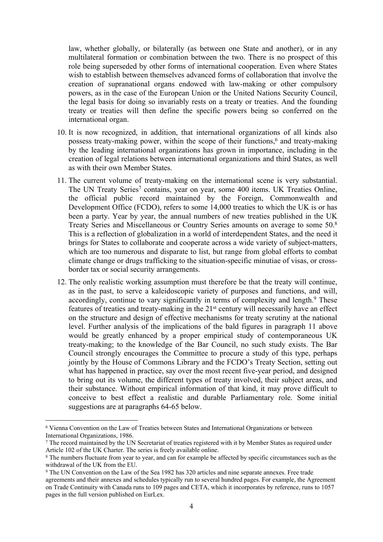law, whether globally, or bilaterally (as between one State and another), or in any multilateral formation or combination between the two. There is no prospect of this role being superseded by other forms of international cooperation. Even where States wish to establish between themselves advanced forms of collaboration that involve the creation of supranational organs endowed with law-making or other compulsory powers, as in the case of the European Union or the United Nations Security Council, the legal basis for doing so invariably rests on a treaty or treaties. And the founding treaty or treaties will then define the specific powers being so conferred on the international organ.

- 10. It is now recognized, in addition, that international organizations of all kinds also possess treaty-making power, within the scope of their functions,<sup>6</sup> and treaty-making by the leading international organizations has grown in importance, including in the creation of legal relations between international organizations and third States, as well as with their own Member States.
- 11. The current volume of treaty-making on the international scene is very substantial. The UN Treaty Series<sup>7</sup> contains, year on year, some 400 items. UK Treaties Online, the official public record maintained by the Foreign, Commonwealth and Development Office (FCDO), refers to some 14,000 treaties to which the UK is or has been a party. Year by year, the annual numbers of new treaties published in the UK Treaty Series and Miscellaneous or Country Series amounts on average to some 50.<sup>8</sup> This is a reflection of globalization in a world of interdependent States, and the need it brings for States to collaborate and cooperate across a wide variety of subject-matters, which are too numerous and disparate to list, but range from global efforts to combat climate change or drugs trafficking to the situation-specific minutiae of visas, or crossborder tax or social security arrangements.
- 12. The only realistic working assumption must therefore be that the treaty will continue, as in the past, to serve a kaleidoscopic variety of purposes and functions, and will, accordingly, continue to vary significantly in terms of complexity and length.<sup>9</sup> These features of treaties and treaty-making in the 21st century will necessarily have an effect on the structure and design of effective mechanisms for treaty scrutiny at the national level. Further analysis of the implications of the bald figures in paragraph 11 above would be greatly enhanced by a proper empirical study of contemporaneous UK treaty-making; to the knowledge of the Bar Council, no such study exists. The Bar Council strongly encourages the Committee to procure a study of this type, perhaps jointly by the House of Commons Library and the FCDO's Treaty Section, setting out what has happened in practice, say over the most recent five-year period, and designed to bring out its volume, the different types of treaty involved, their subject areas, and their substance. Without empirical information of that kind, it may prove difficult to conceive to best effect a realistic and durable Parliamentary role. Some initial suggestions are at paragraphs 64-65 below.

<sup>6</sup> Vienna Convention on the Law of Treaties between States and International Organizations or between International Organizations, 1986.

<sup>7</sup> The record maintained by the UN Secretariat of treaties registered with it by Member States as required under Article 102 of the UK Charter. The series is freely available online.

<sup>&</sup>lt;sup>8</sup> The numbers fluctuate from year to year, and can for example be affected by specific circumstances such as the withdrawal of the UK from the EU.

<sup>9</sup> The UN Convention on the Law of the Sea 1982 has 320 articles and nine separate annexes. Free trade agreements and their annexes and schedules typically run to several hundred pages. For example, the Agreement on Trade Continuity with Canada runs to 109 pages and CETA, which it incorporates by reference, runs to 1057 pages in the full version published on EurLex.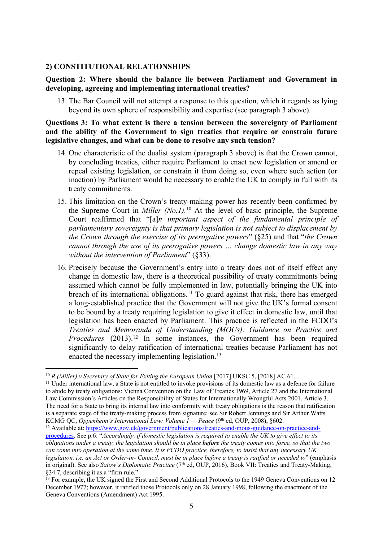# **2) CONSTITUTIONAL RELATIONSHIPS**

# **Question 2: Where should the balance lie between Parliament and Government in developing, agreeing and implementing international treaties?**

13. The Bar Council will not attempt a response to this question, which it regards as lying beyond its own sphere of responsibility and expertise (see paragraph 3 above).

### **Questions 3: To what extent is there a tension between the sovereignty of Parliament and the ability of the Government to sign treaties that require or constrain future legislative changes, and what can be done to resolve any such tension?**

- 14. One characteristic of the dualist system (paragraph 3 above) is that the Crown cannot, by concluding treaties, either require Parliament to enact new legislation or amend or repeal existing legislation, or constrain it from doing so, even where such action (or inaction) by Parliament would be necessary to enable the UK to comply in full with its treaty commitments.
- 15. This limitation on the Crown's treaty-making power has recently been confirmed by the Supreme Court in *Miller (No.1).*<sup>10</sup> At the level of basic principle, the Supreme Court reaffirmed that "[a]*n important aspect of the fundamental principle of parliamentary sovereignty is that primary legislation is not subject to displacement by the Crown through the exercise of its prerogative powers*" (§25) and that "*the Crown cannot through the use of its prerogative powers … change domestic law in any way without the intervention of Parliament*" (§33).
- 16. Precisely because the Government's entry into a treaty does not of itself effect any change in domestic law, there is a theoretical possibility of treaty commitments being assumed which cannot be fully implemented in law, potentially bringing the UK into breach of its international obligations.<sup>11</sup> To guard against that risk, there has emerged a long-established practice that the Government will not give the UK's formal consent to be bound by a treaty requiring legislation to give it effect in domestic law, until that legislation has been enacted by Parliament. This practice is reflected in the FCDO's *Treaties and Memoranda of Understanding (MOUs): Guidance on Practice and Procedures* (2013).<sup>12</sup> In some instances, the Government has been required significantly to delay ratification of international treaties because Parliament has not enacted the necessary implementing legislation.<sup>13</sup>

<sup>10</sup> *R (Miller) v Secretary of State for Exiting the European Union* [2017] UKSC 5, [2018] AC 61.

<sup>&</sup>lt;sup>11</sup> Under international law, a State is not entitled to invoke provisions of its domestic law as a defence for failure to abide by treaty obligations: Vienna Convention on the Law of Treaties 1969, Article 27 and the International Law Commission's Articles on the Responsibility of States for Internationally Wrongful Acts 2001, Article 3. The need for a State to bring its internal law into conformity with treaty obligations is the reason that ratification is a separate stage of the treaty-making process from signature: see Sir Robert Jennings and Sir Arthur Watts KCMG QC, *Oppenheim's International Law: Volume 1 — Peace* (9th ed, OUP, 2008), §602.

<sup>12</sup> Available at: [https://www.gov.uk/government/publications/treaties-and-mous-guidance-on-practice-and](https://www.gov.uk/government/publications/treaties-and-mous-guidance-on-practice-and-procedures)[procedures.](https://www.gov.uk/government/publications/treaties-and-mous-guidance-on-practice-and-procedures) See p.6: "*Accordingly, if domestic legislation is required to enable the UK to give effect to its* obligations under a treaty, the legislation should be in place **before** the treaty comes into force, so that the two can come into operation at the same time. It is FCDO practice, therefore, to insist that any necessary UK legislation, i.e. an Act or Order-in- Council, must be in place before a treaty is ratified or acceded to" (emphasis in original). See also *Satow's Diplomatic Practice* (7th ed, OUP, 2016), Book VII: Treaties and Treaty-Making, §34.7, describing it as a "firm rule."

<sup>&</sup>lt;sup>13</sup> For example, the UK signed the First and Second Additional Protocols to the 1949 Geneva Conventions on 12 December 1977; however, it ratified those Protocols only on 28 January 1998, following the enactment of the Geneva Conventions (Amendment) Act 1995.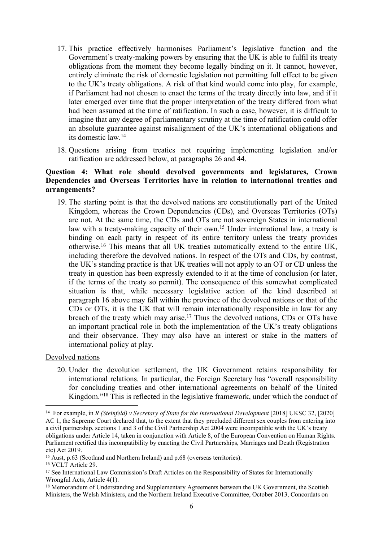- 17. This practice effectively harmonises Parliament's legislative function and the Government's treaty-making powers by ensuring that the UK is able to fulfil its treaty obligations from the moment they become legally binding on it. It cannot, however, entirely eliminate the risk of domestic legislation not permitting full effect to be given to the UK's treaty obligations. A risk of that kind would come into play, for example, if Parliament had not chosen to enact the terms of the treaty directly into law, and if it later emerged over time that the proper interpretation of the treaty differed from what had been assumed at the time of ratification. In such a case, however, it is difficult to imagine that any degree of parliamentary scrutiny at the time of ratification could offer an absolute guarantee against misalignment of the UK's international obligations and its domestic law.<sup>14</sup>
- 18. Questions arising from treaties not requiring implementing legislation and/or ratification are addressed below, at paragraphs 26 and 44.

# **Question 4: What role should devolved governments and legislatures, Crown Dependencies and Overseas Territories have in relation to international treaties and arrangements?**

19. The starting point is that the devolved nations are constitutionally part of the United Kingdom, whereas the Crown Dependencies (CDs), and Overseas Territories (OTs) are not. At the same time, the CDs and OTs are not sovereign States in international law with a treaty-making capacity of their own.<sup>15</sup> Under international law, a treaty is binding on each party in respect of its entire territory unless the treaty provides otherwise.<sup>16</sup> This means that all UK treaties automatically extend to the entire UK, including therefore the devolved nations. In respect of the OTs and CDs, by contrast, the UK's standing practice is that UK treaties will not apply to an OT or CD unless the treaty in question has been expressly extended to it at the time of conclusion (or later, if the terms of the treaty so permit). The consequence of this somewhat complicated situation is that, while necessary legislative action of the kind described at paragraph 16 above may fall within the province of the devolved nations or that of the CDs or OTs, it is the UK that will remain internationally responsible in law for any breach of the treaty which may arise.<sup>17</sup> Thus the devolved nations, CDs or OTs have an important practical role in both the implementation of the UK's treaty obligations and their observance. They may also have an interest or stake in the matters of international policy at play.

# Devolved nations

20. Under the devolution settlement, the UK Government retains responsibility for international relations. In particular, the Foreign Secretary has "overall responsibility for concluding treaties and other international agreements on behalf of the United Kingdom."<sup>18</sup> This is reflected in the legislative framework, under which the conduct of

<sup>14</sup> For example, in *R (Steinfeld) v Secretary of State for the International Development* [2018] UKSC 32, [2020] AC 1, the Supreme Court declared that, to the extent that they precluded different sex couples from entering into a civil partnership, sections 1 and 3 of the Civil Partnership Act 2004 were incompatible with the UK's treaty obligations under Article 14, taken in conjunction with Article 8, of the European Convention on Human Rights. Parliament rectified this incompatibility by enacting the Civil Partnerships, Marriages and Death (Registration etc) Act 2019.

<sup>&</sup>lt;sup>15</sup> Aust, p.63 (Scotland and Northern Ireland) and p.68 (overseas territories).

<sup>16</sup> VCLT Article 29.

<sup>&</sup>lt;sup>17</sup> See International Law Commission's Draft Articles on the Responsibility of States for Internationally Wrongful Acts, Article 4(1).

<sup>&</sup>lt;sup>18</sup> Memorandum of Understanding and Supplementary Agreements between the UK Government, the Scottish Ministers, the Welsh Ministers, and the Northern Ireland Executive Committee, October 2013, Concordats on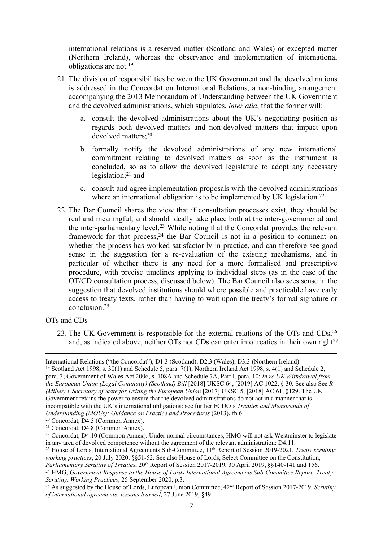international relations is a reserved matter (Scotland and Wales) or excepted matter (Northern Ireland), whereas the observance and implementation of international obligations are not.<sup>19</sup>

- 21. The division of responsibilities between the UK Government and the devolved nations is addressed in the Concordat on International Relations, a non-binding arrangement accompanying the 2013 Memorandum of Understanding between the UK Government and the devolved administrations, which stipulates, *inter alia*, that the former will:
	- a. consult the devolved administrations about the UK's negotiating position as regards both devolved matters and non-devolved matters that impact upon devolved matters;<sup>20</sup>
	- b. formally notify the devolved administrations of any new international commitment relating to devolved matters as soon as the instrument is concluded, so as to allow the devolved legislature to adopt any necessary legislation; $21$  and
	- c. consult and agree implementation proposals with the devolved administrations where an international obligation is to be implemented by UK legislation.<sup>22</sup>
- 22. The Bar Council shares the view that if consultation processes exist, they should be real and meaningful, and should ideally take place both at the inter-governmental and the inter-parliamentary level.<sup>23</sup> While noting that the Concordat provides the relevant framework for that process,  $24$  the Bar Council is not in a position to comment on whether the process has worked satisfactorily in practice, and can therefore see good sense in the suggestion for a re-evaluation of the existing mechanisms, and in particular of whether there is any need for a more formalised and prescriptive procedure, with precise timelines applying to individual steps (as in the case of the OT/CD consultation process, discussed below). The Bar Council also sees sense in the suggestion that devolved institutions should where possible and practicable have early access to treaty texts, rather than having to wait upon the treaty's formal signature or conclusion.<sup>25</sup>

# OTs and CDs

23. The UK Government is responsible for the external relations of the OTs and CDs,<sup>26</sup> and, as indicated above, neither  $\overline{OTs}$  nor  $\overline{CDs}$  can enter into treaties in their own right<sup>27</sup>

International Relations ("the Concordat"), D1.3 (Scotland), D2.3 (Wales), D3.3 (Northern Ireland). <sup>19</sup> Scotland Act 1998, s. 30(1) and Schedule 5, para. 7(1); Northern Ireland Act 1998, s. 4(1) and Schedule 2, para. 3; Government of Wales Act 2006, s. 108A and Schedule 7A, Part I, para. 10; *In re UK Withdrawal from the European Union (Legal Continuity) (Scotland) Bill* [2018] UKSC 64, [2019] AC 1022, § 30. See also See *R (Miller) v Secretary of State for Exiting the European Union* [2017] UKSC 5, [2018] AC 61, §129. The UK Government retains the power to ensure that the devolved administrations do not act in a manner that is incompatible with the UK's international obligations: see further FCDO's *Treaties and Memoranda of Understanding (MOUs): Guidance on Practice and Procedures* (2013), fn.6.

<sup>20</sup> Concordat, D4.5 (Common Annex).

<sup>21</sup> Concordat, D4.8 (Common Annex).

<sup>22</sup> Concordat, D4.10 (Common Annex). Under normal circumstances, HMG will not ask Westminster to legislate in any area of devolved competence without the agreement of the relevant administration: D4.11.

<sup>&</sup>lt;sup>23</sup> House of Lords, International Agreements Sub-Committee, 11<sup>th</sup> Report of Session 2019-2021, *Treaty scrutiny: working practices*, 20 July 2020, §§51-52. See also House of Lords, Select Committee on the Constitution, *Parliamentary Scrutiny of Treaties*, 20<sup>th</sup> Report of Session 2017-2019, 30 April 2019, §§140-141 and 156.

<sup>24</sup> HMG, *Government Response to the House of Lords International Agreements Sub-Committee Report: Treaty Scrutiny, Working Practices*, 25 September 2020, p.3.

<sup>25</sup> As suggested by the House of Lords, European Union Committee, 42nd Report of Session 2017-2019, *Scrutiny of international agreements: lessons learned*, 27 June 2019, §49.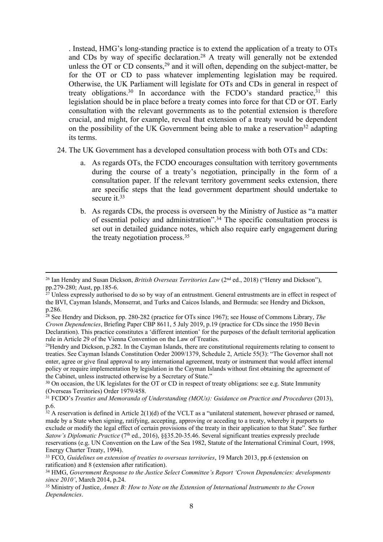. Instead, HMG's long-standing practice is to extend the application of a treaty to OTs and CDs by way of specific declaration.<sup>28</sup> A treaty will generally not be extended unless the OT or CD consents,  $29$  and it will often, depending on the subject-matter, be for the OT or CD to pass whatever implementing legislation may be required. Otherwise, the UK Parliament will legislate for OTs and CDs in general in respect of treaty obligations.<sup>30</sup> In accordance with the FCDO's standard practice,  $31$  this legislation should be in place before a treaty comes into force for that CD or OT. Early consultation with the relevant governments as to the potential extension is therefore crucial, and might, for example, reveal that extension of a treaty would be dependent on the possibility of the UK Government being able to make a reservation<sup>32</sup> adapting its terms.

- 24. The UK Government has a developed consultation process with both OTs and CDs:
	- a. As regards OTs, the FCDO encourages consultation with territory governments during the course of a treaty's negotiation, principally in the form of a consultation paper. If the relevant territory government seeks extension, there are specific steps that the lead government department should undertake to secure it.<sup>33</sup>
	- b. As regards CDs, the process is overseen by the Ministry of Justice as "a matter of essential policy and administration".<sup>34</sup> The specific consultation process is set out in detailed guidance notes, which also require early engagement during the treaty negotiation process.<sup>35</sup>

 $^{29}$ Hendry and Dickson, p.282. In the Cayman Islands, there are constitutional requirements relating to consent to treaties. See Cayman Islands Constitution Order 2009/1379, Schedule 2, Article 55(3): "The Governor shall not enter, agree or give final approval to any international agreement, treaty or instrument that would affect internal policy or require implementation by legislation in the Cayman Islands without first obtaining the agreement of the Cabinet, unless instructed otherwise by a Secretary of State."

<sup>26</sup> Ian Hendry and Susan Dickson, *British Overseas Territories Law* (2nd ed., 2018) ("Henry and Dickson"), pp.279-280; Aust, pp.185-6.

<sup>&</sup>lt;sup>27</sup> Unless expressly authorised to do so by way of an entrustment. General entrustments are in effect in respect of the BVI, Cayman Islands, Monserrat, and Turks and Caicos Islands, and Bermuda: see Hendry and Dickson, p.286.

<sup>28</sup> See Hendry and Dickson, pp. 280-282 (practice for OTs since 1967); see House of Commons Library, *The Crown Dependencies*, Briefing Paper CBP 8611, 5 July 2019, p.19 (practice for CDs since the 1950 Bevin Declaration). This practice constitutes a 'different intention' for the purposes of the default territorial application rule in Article 29 of the Vienna Convention on the Law of Treaties.

<sup>&</sup>lt;sup>30</sup> On occasion, the UK legislates for the OT or CD in respect of treaty obligations: see e.g. State Immunity (Overseas Territories) Order 1979/458.

<sup>31</sup> FCDO's *Treaties and Memoranda of Understanding (MOUs): Guidance on Practice and Procedures* (2013), p.6.

 $32$  A reservation is defined in Article 2(1)(d) of the VCLT as a "unilateral statement, however phrased or named, made by a State when signing, ratifying, accepting, approving or acceding to a treaty, whereby it purports to exclude or modify the legal effect of certain provisions of the treaty in their application to that State". See further *Satow's Diplomatic Practice* (7<sup>th</sup> ed., 2016), §§35.20-35.46. Several significant treaties expressly preclude reservations (e.g. UN Convention on the Law of the Sea 1982, Statute of the International Criminal Court, 1998, Energy Charter Treaty, 1994).

<sup>33</sup> FCO, *Guidelines on extension of treaties to overseas territories*, 19 March 2013, pp.6 (extension on ratification) and 8 (extension after ratification).

<sup>34</sup> HMG, *Government Response to the Justice Select Committee's Report 'Crown Dependencies: developments since 2010'*, March 2014, p.24.

<sup>35</sup> Ministry of Justice, *Annex B: How to Note on the Extension of International Instruments to the Crown Dependencies*.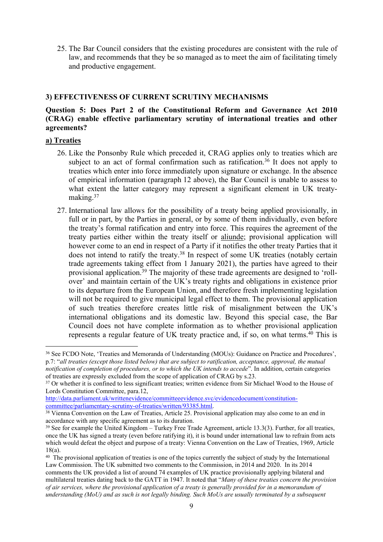25. The Bar Council considers that the existing procedures are consistent with the rule of law, and recommends that they be so managed as to meet the aim of facilitating timely and productive engagement.

# **3) EFFECTIVENESS OF CURRENT SCRUTINY MECHANISMS**

# **Question 5: Does Part 2 of the Constitutional Reform and Governance Act 2010 (CRAG) enable effective parliamentary scrutiny of international treaties and other agreements?**

# **a) Treaties**

- 26. Like the Ponsonby Rule which preceded it, CRAG applies only to treaties which are subject to an act of formal confirmation such as ratification.<sup>36</sup> It does not apply to treaties which enter into force immediately upon signature or exchange. In the absence of empirical information (paragraph 12 above), the Bar Council is unable to assess to what extent the latter category may represent a significant element in UK treatymaking.<sup>37</sup>
- 27. International law allows for the possibility of a treaty being applied provisionally, in full or in part, by the Parties in general, or by some of them individually, even before the treaty's formal ratification and entry into force. This requires the agreement of the treaty parties either within the treaty itself or aliunde; provisional application will however come to an end in respect of a Party if it notifies the other treaty Parties that it does not intend to ratify the treaty.<sup>38</sup> In respect of some UK treaties (notably certain trade agreements taking effect from 1 January 2021), the parties have agreed to their provisional application.<sup>39</sup> The majority of these trade agreements are designed to 'rollover' and maintain certain of the UK's treaty rights and obligations in existence prior to its departure from the European Union, and therefore fresh implementing legislation will not be required to give municipal legal effect to them. The provisional application of such treaties therefore creates little risk of misalignment between the UK's international obligations and its domestic law. Beyond this special case, the Bar Council does not have complete information as to whether provisional application represents a regular feature of UK treaty practice and, if so, on what terms.<sup>40</sup> This is

[http://data.parliament.uk/writtenevidence/committeeevidence.svc/evidencedocument/constitution](http://data.parliament.uk/writtenevidence/committeeevidence.svc/evidencedocument/constitution-committee/parliamentary-scrutiny-of-treaties/written/93385.html)[committee/parliamentary-scrutiny-of-treaties/written/93385.html.](http://data.parliament.uk/writtenevidence/committeeevidence.svc/evidencedocument/constitution-committee/parliamentary-scrutiny-of-treaties/written/93385.html)

<sup>36</sup> See FCDO Note, 'Treaties and Memoranda of Understanding (MOUs): Guidance on Practice and Procedures', p.7: "*all treaties (except those listed below) that are subject to ratification, acceptance, approval, the mutual notification of completion of procedures, or to which the UK intends to accede*". In addition, certain categories of treaties are expressly excluded from the scope of application of CRAG by s.23.

<sup>&</sup>lt;sup>37</sup> Or whether it is confined to less significant treaties; written evidence from Sir Michael Wood to the House of Lords Constitution Committee, para.12,

<sup>&</sup>lt;sup>38</sup> Vienna Convention on the Law of Treaties, Article 25. Provisional application may also come to an end in accordance with any specific agreement as to its duration.

 $39$  See for example the United Kingdom – Turkey Free Trade Agreement, article 13.3(3). Further, for all treaties, once the UK has signed a treaty (even before ratifying it), it is bound under international law to refrain from acts which would defeat the object and purpose of a treaty: Vienna Convention on the Law of Treaties, 1969, Article 18(a).

<sup>&</sup>lt;sup>40</sup> The provisional application of treaties is one of the topics currently the subject of study by the International Law Commission. The UK submitted two comments to the Commission, in 2014 and 2020. In its 2014 comments the UK provided a list of around 74 examples of UK practice provisionally applying bilateral and multilateral treaties dating back to the GATT in 1947. It noted that "*Many of these treaties concern the provision* of air services, where the provisional application of a treaty is generally provided for in a memorandum of *understanding (MoU) and as such is not legally binding. Such MoUs are usually terminated by a subsequent*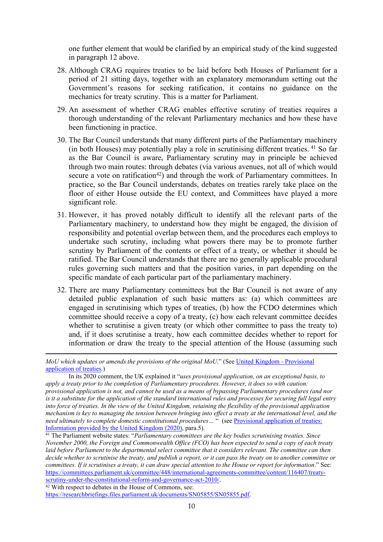one further element that would be clarified by an empirical study of the kind suggested in paragraph 12 above.

- 28. Although CRAG requires treaties to be laid before both Houses of Parliament for a period of 21 sitting days, together with an explanatory memorandum setting out the Government's reasons for seeking ratification, it contains no guidance on the mechanics for treaty scrutiny. This is a matter for Parliament.
- 29. An assessment of whether CRAG enables effective scrutiny of treaties requires a thorough understanding of the relevant Parliamentary mechanics and how these have been functioning in practice.
- 30. The Bar Council understands that many different parts of the Parliamentary machinery (in both Houses) may potentially play a role in scrutinising different treaties. <sup>41</sup> So far as the Bar Council is aware, Parliamentary scrutiny may in principle be achieved through two main routes: through debates (via various avenues, not all of which would secure a vote on ratification<sup>42</sup>) and through the work of Parliamentary committees. In practice, so the Bar Council understands, debates on treaties rarely take place on the floor of either House outside the EU context, and Committees have played a more significant role.
- 31. However, it has proved notably difficult to identify all the relevant parts of the Parliamentary machinery, to understand how they might be engaged, the division of responsibility and potential overlap between them, and the procedures each employs to undertake such scrutiny, including what powers there may be to promote further scrutiny by Parliament of the contents or effect of a treaty, or whether it should be ratified. The Bar Council understands that there are no generally applicable procedural rules governing such matters and that the position varies, in part depending on the specific mandate of each particular part of the parliamentary machinery.
- 32. There are many Parliamentary committees but the Bar Council is not aware of any detailed public explanation of such basic matters as: (a) which committees are engaged in scrutinising which types of treaties, (b) how the FCDO determines which committee should receive a copy of a treaty, (c) how each relevant committee decides whether to scrutinise a given treaty (or which other committee to pass the treaty to) and, if it does scrutinise a treaty, how each committee decides whether to report for information or draw the treaty to the special attention of the House (assuming such

 $42$  With respect to debates in the House of Commons, see: [https://researchbriefings.files.parliament.uk/documents/SN05855/SN05855.pdf.](https://researchbriefings.files.parliament.uk/documents/SN05855/SN05855.pdf)

*MoU which updates or amends the provisions of the original MoU*." (See [United](https://legal.un.org/ilc/sessions/66/pdfs/english/pat_uk.pdf) [Kingdom](https://legal.un.org/ilc/sessions/66/pdfs/english/pat_uk.pdf) [-](https://legal.un.org/ilc/sessions/66/pdfs/english/pat_uk.pdf) [Provisional](https://legal.un.org/ilc/sessions/66/pdfs/english/pat_uk.pdf) [application](https://legal.un.org/ilc/sessions/66/pdfs/english/pat_uk.pdf) [of](https://legal.un.org/ilc/sessions/66/pdfs/english/pat_uk.pdf) [treaties.](https://legal.un.org/ilc/sessions/66/pdfs/english/pat_uk.pdf))

In its 2020 comment, the UK explained it "*uses provisional application, on an exceptional basis, to apply a treaty prior to the completion of Parliamentary procedures. However, it does so with caution:* provisional application is not, and cannot be used as a means of bypassing Parliamentary procedures (and nor is it a substitute for the application of the standard international rules and processes for securing full legal entry into force of treaties. In the view of the United Kingdom, retaining the flexibility of the provisional application mechanism is key to managing the tension between bringing into effect a treaty at the internationa[l](https://legal.un.org/ilc/sessions/72/pdfs/english/pat_uk.pdf) level, a[nd](https://legal.un.org/ilc/sessions/72/pdfs/english/pat_uk.pdf) the *need ultimately to complete domestic constitutional procedures…* " (see [Provisional](https://legal.un.org/ilc/sessions/72/pdfs/english/pat_uk.pdf) [application](https://legal.un.org/ilc/sessions/72/pdfs/english/pat_uk.pdf) [of](https://legal.un.org/ilc/sessions/72/pdfs/english/pat_uk.pdf) [treaties:](https://legal.un.org/ilc/sessions/72/pdfs/english/pat_uk.pdf) [Information](https://legal.un.org/ilc/sessions/72/pdfs/english/pat_uk.pdf) [provided](https://legal.un.org/ilc/sessions/72/pdfs/english/pat_uk.pdf) [by](https://legal.un.org/ilc/sessions/72/pdfs/english/pat_uk.pdf) [the](https://legal.un.org/ilc/sessions/72/pdfs/english/pat_uk.pdf) [United](https://legal.un.org/ilc/sessions/72/pdfs/english/pat_uk.pdf) [Kingdom](https://legal.un.org/ilc/sessions/72/pdfs/english/pat_uk.pdf) [\(2020\)](https://legal.un.org/ilc/sessions/72/pdfs/english/pat_uk.pdf), para.5).

<sup>41</sup> The Parliament website states: "*Parliamentary committees are the key bodies scrutinising treaties. Since* November 2000, the Foreign and Commonwealth Office (FCO) has been expected to send a copy of each treaty *laid before Parliament to the departmental select committee that it considers relevant. The committee can then* decide whether to scrutinise the treaty, and publish a report, or it can pass the treaty on to another committee or committees. If it scrutinises a treaty, it can draw special attention to the House or report for information." See: [https://committees.parliament.uk/committee/448/international-agreements-committee/content/116407/treaty](https://committees.parliament.uk/committee/448/international-agreements-committee/content/116407/treaty-scrutiny-under-the-constitutional-reform-and-governance-act-2010/)[scrutiny-under-the-constitutional-reform-and-governance-act-2010/](https://committees.parliament.uk/committee/448/international-agreements-committee/content/116407/treaty-scrutiny-under-the-constitutional-reform-and-governance-act-2010/).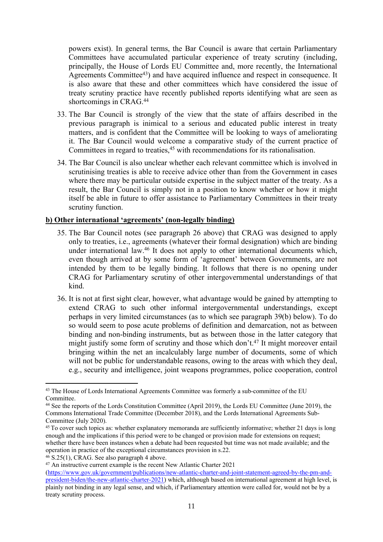powers exist). In general terms, the Bar Council is aware that certain Parliamentary Committees have accumulated particular experience of treaty scrutiny (including, principally, the House of Lords EU Committee and, more recently, the International Agreements Committee<sup>43</sup>) and have acquired influence and respect in consequence. It is also aware that these and other committees which have considered the issue of treaty scrutiny practice have recently published reports identifying what are seen as shortcomings in CRAG.<sup>44</sup>

- 33. The Bar Council is strongly of the view that the state of affairs described in the previous paragraph is inimical to a serious and educated public interest in treaty matters, and is confident that the Committee will be looking to ways of ameliorating it. The Bar Council would welcome a comparative study of the current practice of Committees in regard to treaties,<sup>45</sup> with recommendations for its rationalisation.
- 34. The Bar Council is also unclear whether each relevant committee which is involved in scrutinising treaties is able to receive advice other than from the Government in cases where there may be particular outside expertise in the subject matter of the treaty. As a result, the Bar Council is simply not in a position to know whether or how it might itself be able in future to offer assistance to Parliamentary Committees in their treaty scrutiny function.

# **b) Other international 'agreements' (non-legally binding)**

- 35. The Bar Council notes (see paragraph 26 above) that CRAG was designed to apply only to treaties, i.e., agreements (whatever their formal designation) which are binding under international law.<sup>46</sup> It does not apply to other international documents which, even though arrived at by some form of 'agreement' between Governments, are not intended by them to be legally binding. It follows that there is no opening under CRAG for Parliamentary scrutiny of other intergovernmental understandings of that kind.
- 36. It is not at first sight clear, however, what advantage would be gained by attempting to extend CRAG to such other informal intergovernmental understandings, except perhaps in very limited circumstances (as to which see paragraph 39(b) below). To do so would seem to pose acute problems of definition and demarcation, not as between binding and non-binding instruments, but as between those in the latter category that might justify some form of scrutiny and those which don't.<sup>47</sup> It might moreover entail bringing within the net an incalculably large number of documents, some of which will not be public for understandable reasons, owing to the areas with which they deal, e.g., security and intelligence, joint weapons programmes, police cooperation, control

<sup>&</sup>lt;sup>43</sup> The House of Lords International Agreements Committee was formerly a sub-committee of the EU Committee.

<sup>44</sup> See the reports of the Lords Constitution Committee (April 2019), the Lords EU Committee (June 2019), the Commons International Trade Committee (December 2018), and the Lords International Agreements Sub-Committee (July 2020).

<sup>&</sup>lt;sup>45</sup> To cover such topics as: whether explanatory memoranda are sufficiently informative; whether 21 days is long enough and the implications if this period were to be changed or provision made for extensions on request; whether there have been instances when a debate had been requested but time was not made available; and the operation in practice of the exceptional circumstances provision in s.22.

<sup>46</sup> S.25(1), CRAG. See also paragraph 4 above.

<sup>47</sup> An instructive current example is the recent New Atlantic Charter 2021

[<sup>\(</sup>https://www.gov.uk/government/publications/new-atlantic-charter-and-joint-statement-agreed-by-the-pm-and](https://www.gov.uk/government/publications/new-atlantic-charter-and-joint-statement-agreed-by-the-pm-and-president-biden/the-new-atlantic-charter-2021)[president-biden/the-new-atlantic-charter-2021](https://www.gov.uk/government/publications/new-atlantic-charter-and-joint-statement-agreed-by-the-pm-and-president-biden/the-new-atlantic-charter-2021)) which, although based on international agreement at high level, is plainly not binding in any legal sense, and which, if Parliamentary attention were called for, would not be by a treaty scrutiny process.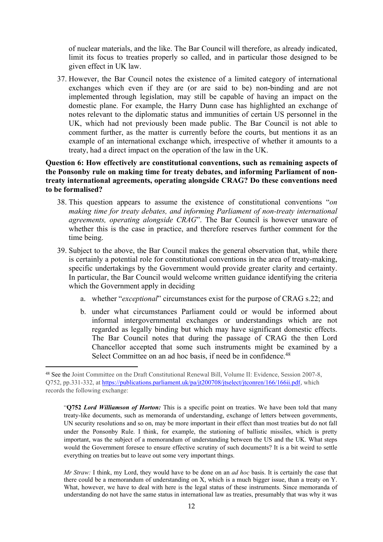of nuclear materials, and the like. The Bar Council will therefore, as already indicated, limit its focus to treaties properly so called, and in particular those designed to be given effect in UK law.

37. However, the Bar Council notes the existence of a limited category of international exchanges which even if they are (or are said to be) non-binding and are not implemented through legislation, may still be capable of having an impact on the domestic plane. For example, the Harry Dunn case has highlighted an exchange of notes relevant to the diplomatic status and immunities of certain US personnel in the UK, which had not previously been made public. The Bar Council is not able to comment further, as the matter is currently before the courts, but mentions it as an example of an international exchange which, irrespective of whether it amounts to a treaty, had a direct impact on the operation of the law in the UK.

# **Question 6: How effectively are constitutional conventions, such as remaining aspects of the Ponsonby rule on making time for treaty debates, and informing Parliament of nontreaty international agreements, operating alongside CRAG? Do these conventions need to be formalised?**

- 38. This question appears to assume the existence of constitutional conventions "*on making time for treaty debates, and informing Parliament of non-treaty international agreements, operating alongside CRAG*". The Bar Council is however unaware of whether this is the case in practice, and therefore reserves further comment for the time being.
- 39. Subject to the above, the Bar Council makes the general observation that, while there is certainly a potential role for constitutional conventions in the area of treaty-making, specific undertakings by the Government would provide greater clarity and certainty. In particular, the Bar Council would welcome written guidance identifying the criteria which the Government apply in deciding
	- a. whether "*exceptional*" circumstances exist for the purpose of CRAG s.22; and
	- b. under what circumstances Parliament could or would be informed about informal intergovernmental exchanges or understandings which are not regarded as legally binding but which may have significant domestic effects. The Bar Council notes that during the passage of CRAG the then Lord Chancellor accepted that some such instruments might be examined by a Select Committee on an ad hoc basis, if need be in confidence.<sup>48</sup>

*Mr Straw:* I think, my Lord, they would have to be done on an *ad hoc* basis. It is certainly the case that there could be a memorandum of understanding on X, which is a much bigger issue, than a treaty on Y. What, however, we have to deal with here is the legal status of these instruments. Since memoranda of understanding do not have the same status in international law as treaties, presumably that was why it was

<sup>48</sup> See the Joint Committee on the Draft Constitutional Renewal Bill, Volume II: Evidence, Session 2007-8, Q752, pp.331-332, at [https://publications.parliament.uk/pa/jt200708/jtselect/jtconren/166/166ii.pdf](https://protect-eu.mimecast.com/s/wFNNCBgpAc7Rz7phNtyTN?domain=publications.parliament.uk), which records the following exchange:

<sup>&</sup>quot;**Q752** *Lord Williamson of Horton:* This is a specific point on treaties. We have been told that many treaty-like documents, such as memoranda of understanding, exchange of letters between governments, UN security resolutions and so on, may be more important in their effect than most treaties but do not fall under the Ponsonby Rule. I think, for example, the stationing of ballistic missiles, which is pretty important, was the subject of a memorandum of understanding between the US and the UK. What steps would the Government foresee to ensure effective scrutiny of such documents? It is a bit weird to settle everything on treaties but to leave out some very important things.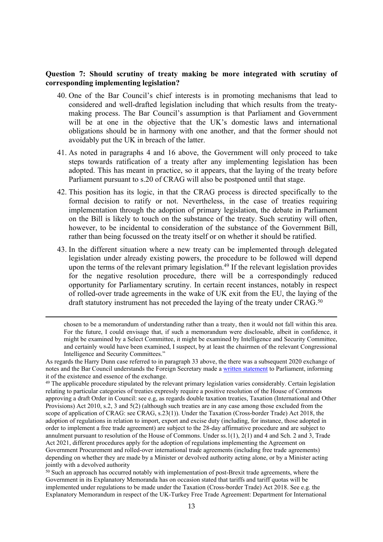# **Question 7: Should scrutiny of treaty making be more integrated with scrutiny of corresponding implementing legislation?**

- 40. One of the Bar Council's chief interests is in promoting mechanisms that lead to considered and well-drafted legislation including that which results from the treatymaking process. The Bar Council's assumption is that Parliament and Government will be at one in the objective that the UK's domestic laws and international obligations should be in harmony with one another, and that the former should not avoidably put the UK in breach of the latter.
- 41. As noted in paragraphs 4 and 16 above, the Government will only proceed to take steps towards ratification of a treaty after any implementing legislation has been adopted. This has meant in practice, so it appears, that the laying of the treaty before Parliament pursuant to s.20 of CRAG will also be postponed until that stage.
- 42. This position has its logic, in that the CRAG process is directed specifically to the formal decision to ratify or not. Nevertheless, in the case of treaties requiring implementation through the adoption of primary legislation, the debate in Parliament on the Bill is likely to touch on the substance of the treaty. Such scrutiny will often, however, to be incidental to consideration of the substance of the Government Bill, rather than being focussed on the treaty itself or on whether it should be ratified.
- 43. In the different situation where a new treaty can be implemented through delegated legislation under already existing powers, the procedure to be followed will depend upon the terms of the relevant primary legislation.<sup>49</sup> If the relevant legislation provides for the negative resolution procedure, there will be a correspondingly reduced opportunity for Parliamentary scrutiny. In certain recent instances, notably in respect of rolled-over trade agreements in the wake of UK exit from the EU, the laying of the draft statutory instrument has not preceded the laying of the treaty under CRAG.<sup>50</sup>

chosen to be a memorandum of understanding rather than a treaty, then it would not fall within this area. For the future, I could envisage that, if such a memorandum were disclosable, albeit in confidence, it might be examined by a Select Committee, it might be examined by Intelligence and Security Committee, and certainly would have been examined, I suspect, by at least the chairmen of the relevant Congressional Intelligence and Security Committees."

As regards the Harry Dunn case referred to in paragraph 33 above, the there was a subsequent 2020 exchange of notes and the Bar Council understands the Foreign Secretary made a [written](https://protect-eu.mimecast.com/s/j8nSCzm5DsMwOMQc4B5f_?domain=questions-statements.parliament.uk) [statement](https://protect-eu.mimecast.com/s/j8nSCzm5DsMwOMQc4B5f_?domain=questions-statements.parliament.uk) to Parliament, informing it of the existence and essence of the exchange.

<sup>&</sup>lt;sup>49</sup> The applicable procedure stipulated by the relevant primary legislation varies considerably. Certain legislation relating to particular categories of treaties expressly require a positive resolution of the House of Commons approving a draft Order in Council: see e.g, as regards double taxation treaties, Taxation (International and Other Provisions) Act 2010, s.2, 3 and 5(2) (although such treaties are in any case among those excluded from the scope of application of CRAG: see CRAG, s.23(1)). Under the Taxation (Cross-border Trade) Act 2018, the adoption of regulations in relation to import, export and excise duty (including, for instance, those adopted in order to implement a free trade agreement) are subject to the 28-day affirmative procedure and are subject to annulment pursuant to resolution of the House of Commons. Under ss.1(1), 2(1) and 4 and Sch. 2 and 3, Trade Act 2021, different procedures apply for the adoption of regulations implementing the Agreement on Government Procurement and rolled-over international trade agreements (including free trade agreements) depending on whether they are made by a Minister or devolved authority acting alone, or by a Minister acting jointly with a devolved authority

<sup>&</sup>lt;sup>50</sup> Such an approach has occurred notably with implementation of post-Brexit trade agreements, where the Government in its Explanatory Memoranda has on occasion stated that tariffs and tariff quotas will be implemented under regulations to be made under the Taxation (Cross-border Trade) Act 2018. See e.g. the Explanatory Memorandum in respect of the UK-Turkey Free Trade Agreement: Department for International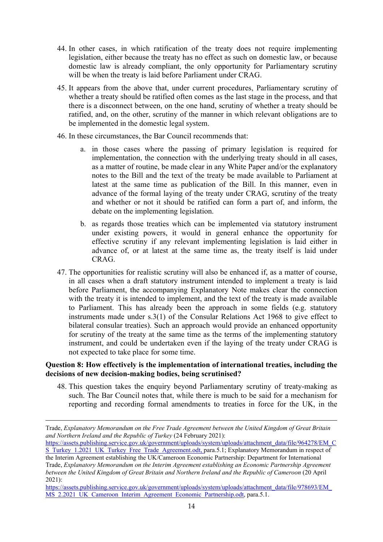- 44. In other cases, in which ratification of the treaty does not require implementing legislation, either because the treaty has no effect as such on domestic law, or because domestic law is already compliant, the only opportunity for Parliamentary scrutiny will be when the treaty is laid before Parliament under CRAG.
- 45. It appears from the above that, under current procedures, Parliamentary scrutiny of whether a treaty should be ratified often comes as the last stage in the process, and that there is a disconnect between, on the one hand, scrutiny of whether a treaty should be ratified, and, on the other, scrutiny of the manner in which relevant obligations are to be implemented in the domestic legal system.
- 46. In these circumstances, the Bar Council recommends that:
	- a. in those cases where the passing of primary legislation is required for implementation, the connection with the underlying treaty should in all cases, as a matter of routine, be made clear in any White Paper and/or the explanatory notes to the Bill and the text of the treaty be made available to Parliament at latest at the same time as publication of the Bill. In this manner, even in advance of the formal laying of the treaty under CRAG, scrutiny of the treaty and whether or not it should be ratified can form a part of, and inform, the debate on the implementing legislation.
	- b. as regards those treaties which can be implemented via statutory instrument under existing powers, it would in general enhance the opportunity for effective scrutiny if any relevant implementing legislation is laid either in advance of, or at latest at the same time as, the treaty itself is laid under CRAG.
- 47. The opportunities for realistic scrutiny will also be enhanced if, as a matter of course, in all cases when a draft statutory instrument intended to implement a treaty is laid before Parliament, the accompanying Explanatory Note makes clear the connection with the treaty it is intended to implement, and the text of the treaty is made available to Parliament. This has already been the approach in some fields (e.g. statutory instruments made under s.3(1) of the Consular Relations Act 1968 to give effect to bilateral consular treaties). Such an approach would provide an enhanced opportunity for scrutiny of the treaty at the same time as the terms of the implementing statutory instrument, and could be undertaken even if the laying of the treaty under CRAG is not expected to take place for some time.

# **Question 8: How effectively is the implementation of international treaties, including the decisions of new decision-making bodies, being scrutinised?**

48. This question takes the enquiry beyond Parliamentary scrutiny of treaty-making as such. The Bar Council notes that, while there is much to be said for a mechanism for reporting and recording formal amendments to treaties in force for the UK, in the

[https://assets.publishing.service.gov.uk/government/uploads/system/uploads/attachment\\_data/file/964278/EM\\_C](https://assets.publishing.service.gov.uk/government/uploads/system/uploads/attachment_data/file/964278/EM_CS_Turkey_1.2021_UK_Turkey_Free_Trade_Agreement.odt) [S\\_Turkey\\_1.2021\\_UK\\_Turkey\\_Free\\_Trade\\_Agreement.odt,](https://assets.publishing.service.gov.uk/government/uploads/system/uploads/attachment_data/file/964278/EM_CS_Turkey_1.2021_UK_Turkey_Free_Trade_Agreement.odt) para.5.1; Explanatory Memorandum in respect of

the Interim Agreement establishing the UK/Cameroon Economic Partnership: Department for International Trade, *Explanatory Memorandum on the Interim Agreement establishing an Economic Partnership Agreement between the United Kingdom of Great Britain and Northern Ireland and the Republic of Cameroon* (20 April 2021):

Trade, *Explanatory Memorandum on the Free Trade Agreement between the United Kingdom of Great Britain and Northern Ireland and the Republic of Turkey* (24 February 2021):

[https://assets.publishing.service.gov.uk/government/uploads/system/uploads/attachment\\_data/file/978693/EM\\_](https://assets.publishing.service.gov.uk/government/uploads/system/uploads/attachment_data/file/978693/EM_MS_2.2021_UK_Cameroon_Interim_Agreement_Economic_Partnership.odt) [MS\\_2.2021\\_UK\\_Cameroon\\_Interim\\_Agreement\\_Economic\\_Partnership.odt,](https://assets.publishing.service.gov.uk/government/uploads/system/uploads/attachment_data/file/978693/EM_MS_2.2021_UK_Cameroon_Interim_Agreement_Economic_Partnership.odt) para.5.1.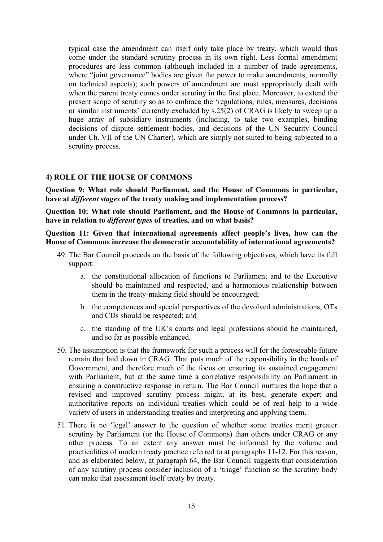typical case the amendment can itself only take place by treaty, which would thus come under the standard scrutiny process in its own right. Less formal amendment procedures are less common (although included in a number of trade agreements, where "joint governance" bodies are given the power to make amendments, normally on technical aspects); such powers of amendment are most appropriately dealt with when the parent treaty comes under scrutiny in the first place. Moreover, to extend the present scope of scrutiny so as to embrace the 'regulations, rules, measures, decisions or similar instruments' currently excluded by s.25(2) of CRAG is likely to sweep up a huge array of subsidiary instruments (including, to take two examples, binding decisions of dispute settlement bodies, and decisions of the UN Security Council under Ch. VII of the UN Charter), which are simply not suited to being subjected to a scrutiny process.

# **4) ROLE OF THE HOUSE OF COMMONS**

**Question 9: What role should Parliament, and the House of Commons in particular, have at** *different stages* **of the treaty making and implementation process?**

**Question 10: What role should Parliament, and the House of Commons in particular, have in relation to** *different types* **of treaties, and on what basis?**

**Question 11: Given that international agreements affect people's lives, how can the House of Commons increase the democratic accountability of international agreements?**

- 49. The Bar Council proceeds on the basis of the following objectives, which have its full support:
	- a. the constitutional allocation of functions to Parliament and to the Executive should be maintained and respected, and a harmonious relationship between them in the treaty-making field should be encouraged;
	- b. the competences and special perspectives of the devolved administrations, OTs and CDs should be respected; and
	- c. the standing of the UK's courts and legal professions should be maintained, and so far as possible enhanced.
- 50. The assumption is that the framework for such a process will for the foreseeable future remain that laid down in CRAG. That puts much of the responsibility in the hands of Government, and therefore much of the focus on ensuring its sustained engagement with Parliament, but at the same time a correlative responsibility on Parliament in ensuring a constructive response in return. The Bar Council nurtures the hope that a revised and improved scrutiny process might, at its best, generate expert and authoritative reports on individual treaties which could be of real help to a wide variety of users in understanding treaties and interpreting and applying them.
- 51. There is no 'legal' answer to the question of whether some treaties merit greater scrutiny by Parliament (or the House of Commons) than others under CRAG or any other process. To an extent any answer must be informed by the volume and practicalities of modern treaty practice referred to at paragraphs 11-12. For this reason, and as elaborated below, at paragraph 64, the Bar Council suggests that consideration of any scrutiny process consider inclusion of a 'triage' function so the scrutiny body can make that assessment itself treaty by treaty.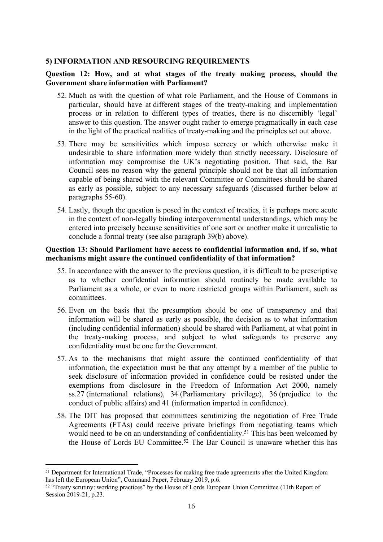#### **5) INFORMATION AND RESOURCING REQUIREMENTS**

# **Question 12: How, and at what stages of the treaty making process, should the Government share information with Parliament?**

- 52. Much as with the question of what role Parliament, and the House of Commons in particular, should have at different stages of the treaty-making and implementation process or in relation to different types of treaties, there is no discernibly 'legal' answer to this question. The answer ought rather to emerge pragmatically in each case in the light of the practical realities of treaty-making and the principles set out above.
- 53. There may be sensitivities which impose secrecy or which otherwise make it undesirable to share information more widely than strictly necessary. Disclosure of information may compromise the UK's negotiating position. That said, the Bar Council sees no reason why the general principle should not be that all information capable of being shared with the relevant Committee or Committees should be shared as early as possible, subject to any necessary safeguards (discussed further below at paragraphs 55-60).
- 54. Lastly, though the question is posed in the context of treaties, it is perhaps more acute in the context of non-legally binding intergovernmental understandings, which may be entered into precisely because sensitivities of one sort or another make it unrealistic to conclude a formal treaty (see also paragraph 39(b) above).

### **Question 13: Should Parliament have access to confidential information and, if so, what mechanisms might assure the continued confidentiality of that information?**

- 55. In accordance with the answer to the previous question, it is difficult to be prescriptive as to whether confidential information should routinely be made available to Parliament as a whole, or even to more restricted groups within Parliament, such as committees.
- 56. Even on the basis that the presumption should be one of transparency and that information will be shared as early as possible, the decision as to what information (including confidential information) should be shared with Parliament, at what point in the treaty-making process, and subject to what safeguards to preserve any confidentiality must be one for the Government.
- 57. As to the mechanisms that might assure the continued confidentiality of that information, the expectation must be that any attempt by a member of the public to seek disclosure of information provided in confidence could be resisted under the exemptions from disclosure in the Freedom of Information Act 2000, namely ss.27 (international relations), 34 (Parliamentary privilege), 36 (prejudice to the conduct of public affairs) and 41 (information imparted in confidence).
- 58. The DIT has proposed that committees scrutinizing the negotiation of Free Trade Agreements (FTAs) could receive private briefings from negotiating teams which would need to be on an understanding of confidentiality.<sup>51</sup> This has been welcomed by the House of Lords EU Committee.<sup>52</sup> The Bar Council is unaware whether this has

<sup>&</sup>lt;sup>51</sup> Department for International Trade, "Processes for making free trade agreements after the United Kingdom has left the European Union", Command Paper, February 2019, p.6.

<sup>&</sup>lt;sup>52</sup> "Treaty scrutiny: working practices" by the House of Lords European Union Committee (11th Report of Session 2019-21, p.23.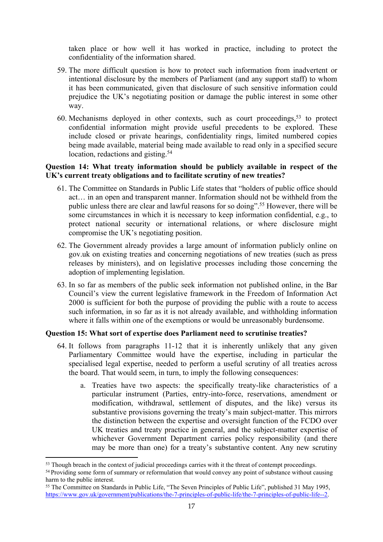taken place or how well it has worked in practice, including to protect the confidentiality of the information shared.

- 59. The more difficult question is how to protect such information from inadvertent or intentional disclosure by the members of Parliament (and any support staff) to whom it has been communicated, given that disclosure of such sensitive information could prejudice the UK's negotiating position or damage the public interest in some other way.
- 60. Mechanisms deployed in other contexts, such as court proceedings,<sup>53</sup> to protect confidential information might provide useful precedents to be explored. These include closed or private hearings, confidentiality rings, limited numbered copies being made available, material being made available to read only in a specified secure location, redactions and gisting.<sup>54</sup>

# **Question 14: What treaty information should be publicly available in respect of the UK's current treaty obligations and to facilitate scrutiny of new treaties?**

- 61. The Committee on Standards in Public Life states that "holders of public office should act… in an open and transparent manner. Information should not be withheld from the public unless there are clear and lawful reasons for so doing".<sup>55</sup> However, there will be some circumstances in which it is necessary to keep information confidential, e.g., to protect national security or international relations, or where disclosure might compromise the UK's negotiating position.
- 62. The Government already provides a large amount of information publicly online on gov.uk on existing treaties and concerning negotiations of new treaties (such as press releases by ministers), and on legislative processes including those concerning the adoption of implementing legislation.
- 63. In so far as members of the public seek information not published online, in the Bar Council's view the current legislative framework in the Freedom of Information Act 2000 is sufficient for both the purpose of providing the public with a route to access such information, in so far as it is not already available, and withholding information where it falls within one of the exemptions or would be unreasonably burdensome.

# **Question 15: What sort of expertise does Parliament need to scrutinise treaties?**

- 64. It follows from paragraphs 11-12 that it is inherently unlikely that any given Parliamentary Committee would have the expertise, including in particular the specialised legal expertise, needed to perform a useful scrutiny of all treaties across the board. That would seem, in turn, to imply the following consequences:
	- a. Treaties have two aspects: the specifically treaty-like characteristics of a particular instrument (Parties, entry-into-force, reservations, amendment or modification, withdrawal, settlement of disputes, and the like) versus its substantive provisions governing the treaty's main subject-matter. This mirrors the distinction between the expertise and oversight function of the FCDO over UK treaties and treaty practice in general, and the subject-matter expertise of whichever Government Department carries policy responsibility (and there may be more than one) for a treaty's substantive content. Any new scrutiny

<sup>&</sup>lt;sup>53</sup> Though breach in the context of judicial proceedings carries with it the threat of contempt proceedings.

<sup>&</sup>lt;sup>54</sup> Providing some form of summary or reformulation that would convey any point of substance without causing harm to the public interest.

<sup>55</sup> The Committee on Standards in Public Life, "The Seven Principles of Public Life", published 31 May 1995, [https://www.gov.uk/government/publications/the-7-principles-of-public-life/the-7-principles-of-public-life--2.](https://www.gov.uk/government/publications/the-7-principles-of-public-life/the-7-principles-of-public-life--2)